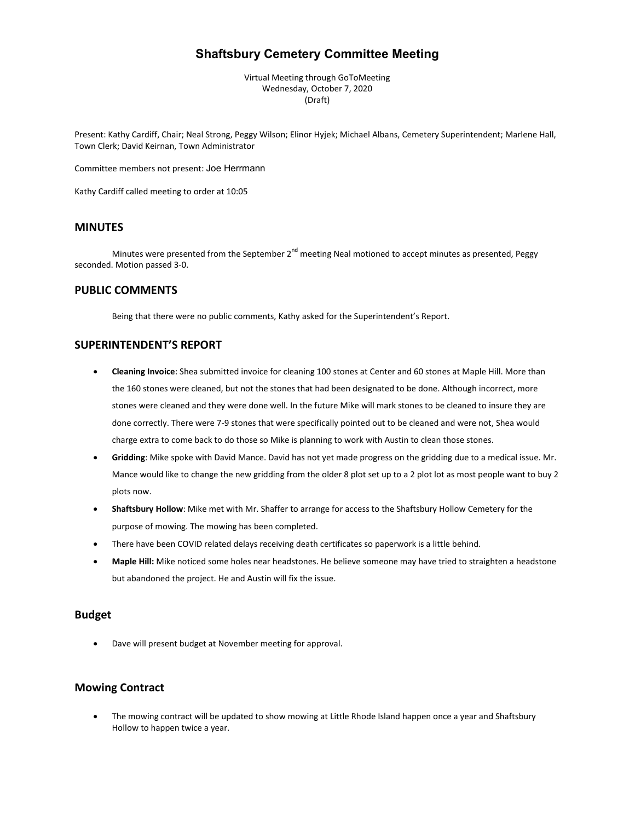# **Shaftsbury Cemetery Committee Meeting**

Virtual Meeting through GoToMeeting Wednesday, October 7, 2020 (Draft)

Present: Kathy Cardiff, Chair; Neal Strong, Peggy Wilson; Elinor Hyjek; Michael Albans, Cemetery Superintendent; Marlene Hall, Town Clerk; David Keirnan, Town Administrator

Committee members not present: Joe Herrmann

Kathy Cardiff called meeting to order at 10:05

## **MINUTES**

Minutes were presented from the September 2<sup>nd</sup> meeting Neal motioned to accept minutes as presented, Peggy seconded. Motion passed 3-0.

### **PUBLIC COMMENTS**

Being that there were no public comments, Kathy asked for the Superintendent's Report.

### **SUPERINTENDENT'S REPORT**

- **Cleaning Invoice**: Shea submitted invoice for cleaning 100 stones at Center and 60 stones at Maple Hill. More than the 160 stones were cleaned, but not the stones that had been designated to be done. Although incorrect, more stones were cleaned and they were done well. In the future Mike will mark stones to be cleaned to insure they are done correctly. There were 7-9 stones that were specifically pointed out to be cleaned and were not, Shea would charge extra to come back to do those so Mike is planning to work with Austin to clean those stones.
- **Gridding**: Mike spoke with David Mance. David has not yet made progress on the gridding due to a medical issue. Mr. Mance would like to change the new gridding from the older 8 plot set up to a 2 plot lot as most people want to buy 2 plots now.
- **Shaftsbury Hollow**: Mike met with Mr. Shaffer to arrange for access to the Shaftsbury Hollow Cemetery for the purpose of mowing. The mowing has been completed.
- There have been COVID related delays receiving death certificates so paperwork is a little behind.
- **Maple Hill:** Mike noticed some holes near headstones. He believe someone may have tried to straighten a headstone but abandoned the project. He and Austin will fix the issue.

## **Budget**

Dave will present budget at November meeting for approval.

### **Mowing Contract**

• The mowing contract will be updated to show mowing at Little Rhode Island happen once a year and Shaftsbury Hollow to happen twice a year.